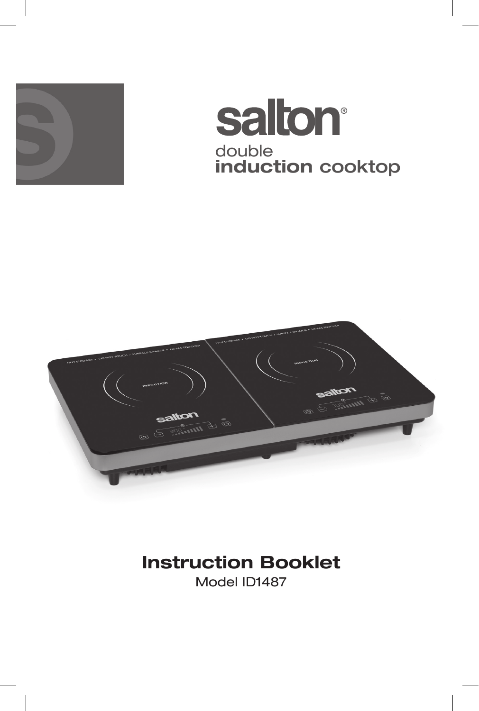

## **salton®** double **induction** cooktop



### **Instruction Booklet**

Model ID1487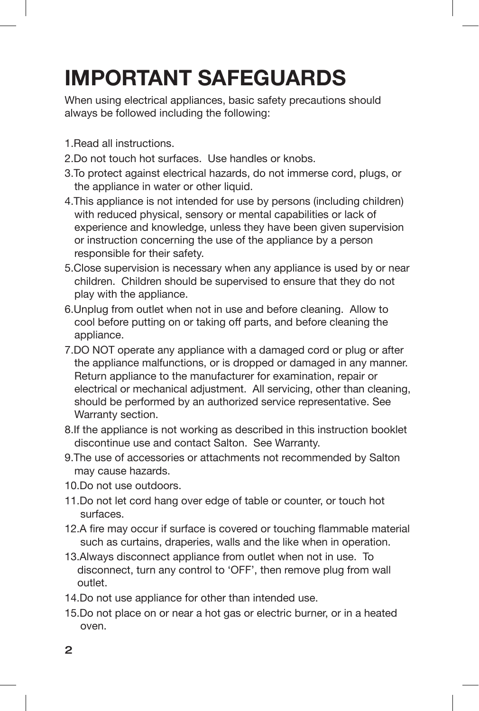# **IMPORTANT SAFEGUARDS**

When using electrical appliances, basic safety precautions should always be followed including the following:

- 1.Read all instructions.
- 2.Do not touch hot surfaces. Use handles or knobs.
- 3.To protect against electrical hazards, do not immerse cord, plugs, or the appliance in water or other liquid.
- 4.This appliance is not intended for use by persons (including children) with reduced physical, sensory or mental capabilities or lack of experience and knowledge, unless they have been given supervision or instruction concerning the use of the appliance by a person responsible for their safety.
- 5.Close supervision is necessary when any appliance is used by or near children. Children should be supervised to ensure that they do not play with the appliance.
- 6.Unplug from outlet when not in use and before cleaning. Allow to cool before putting on or taking off parts, and before cleaning the appliance.
- 7.DO NOT operate any appliance with a damaged cord or plug or after the appliance malfunctions, or is dropped or damaged in any manner. Return appliance to the manufacturer for examination, repair or electrical or mechanical adjustment. All servicing, other than cleaning, should be performed by an authorized service representative. See Warranty section.
- 8.If the appliance is not working as described in this instruction booklet discontinue use and contact Salton. See Warranty.
- 9.The use of accessories or attachments not recommended by Salton may cause hazards.
- 10.Do not use outdoors.
- 11.Do not let cord hang over edge of table or counter, or touch hot surfaces.
- 12.A fire may occur if surface is covered or touching flammable material such as curtains, draperies, walls and the like when in operation.
- 13.Always disconnect appliance from outlet when not in use. To disconnect, turn any control to 'OFF', then remove plug from wall outlet.
- 14.Do not use appliance for other than intended use.
- 15.Do not place on or near a hot gas or electric burner, or in a heated oven.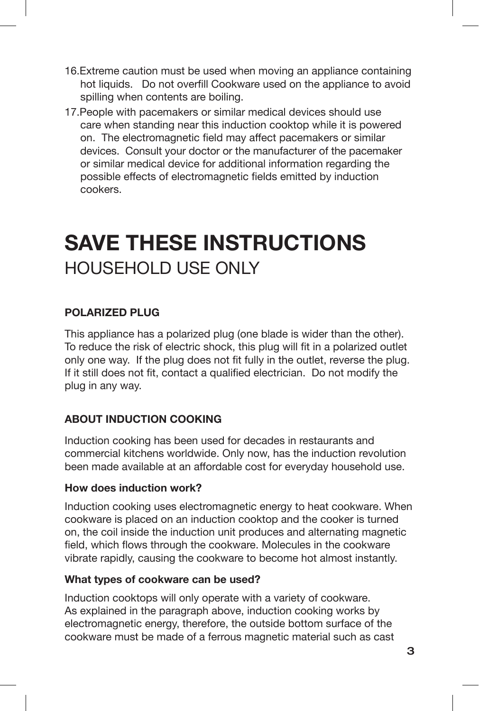- 16.Extreme caution must be used when moving an appliance containing hot liquids. Do not overfill Cookware used on the appliance to avoid spilling when contents are boiling.
- 17.People with pacemakers or similar medical devices should use care when standing near this induction cooktop while it is powered on. The electromagnetic field may affect pacemakers or similar devices. Consult your doctor or the manufacturer of the pacemaker or similar medical device for additional information regarding the possible effects of electromagnetic fields emitted by induction cookers.

### **SAVE THESE INSTRUCTIONS** HOUSEHOLD USE ONLY

#### **POLARIZED PLUG**

This appliance has a polarized plug (one blade is wider than the other). To reduce the risk of electric shock, this plug will fit in a polarized outlet only one way. If the plug does not fit fully in the outlet, reverse the plug. If it still does not fit, contact a qualified electrician. Do not modify the plug in any way.

#### **ABOUT INDUCTION COOKING**

Induction cooking has been used for decades in restaurants and commercial kitchens worldwide. Only now, has the induction revolution been made available at an affordable cost for everyday household use.

#### **How does induction work?**

Induction cooking uses electromagnetic energy to heat cookware. When cookware is placed on an induction cooktop and the cooker is turned on, the coil inside the induction unit produces and alternating magnetic field, which flows through the cookware. Molecules in the cookware vibrate rapidly, causing the cookware to become hot almost instantly.

#### **What types of cookware can be used?**

Induction cooktops will only operate with a variety of cookware. As explained in the paragraph above, induction cooking works by electromagnetic energy, therefore, the outside bottom surface of the cookware must be made of a ferrous magnetic material such as cast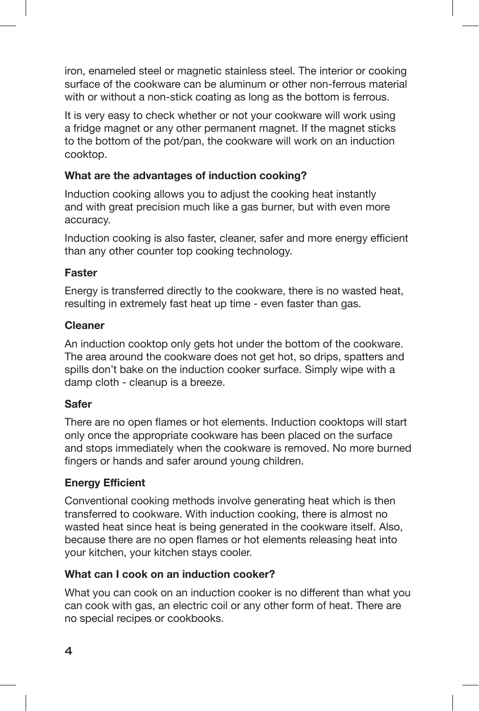iron, enameled steel or magnetic stainless steel. The interior or cooking surface of the cookware can be aluminum or other non-ferrous material with or without a non-stick coating as long as the bottom is ferrous.

It is very easy to check whether or not your cookware will work using a fridge magnet or any other permanent magnet. If the magnet sticks to the bottom of the pot/pan, the cookware will work on an induction cooktop.

#### **What are the advantages of induction cooking?**

Induction cooking allows you to adjust the cooking heat instantly and with great precision much like a gas burner, but with even more accuracy.

Induction cooking is also faster, cleaner, safer and more energy efficient than any other counter top cooking technology.

#### **Faster**

Energy is transferred directly to the cookware, there is no wasted heat, resulting in extremely fast heat up time - even faster than gas.

#### **Cleaner**

An induction cooktop only gets hot under the bottom of the cookware. The area around the cookware does not get hot, so drips, spatters and spills don't bake on the induction cooker surface. Simply wipe with a damp cloth - cleanup is a breeze.

#### **Safer**

There are no open flames or hot elements. Induction cooktops will start only once the appropriate cookware has been placed on the surface and stops immediately when the cookware is removed. No more burned fingers or hands and safer around young children.

#### **Energy Efficient**

Conventional cooking methods involve generating heat which is then transferred to cookware. With induction cooking, there is almost no wasted heat since heat is being generated in the cookware itself. Also, because there are no open flames or hot elements releasing heat into your kitchen, your kitchen stays cooler.

#### **What can I cook on an induction cooker?**

What you can cook on an induction cooker is no different than what you can cook with gas, an electric coil or any other form of heat. There are no special recipes or cookbooks.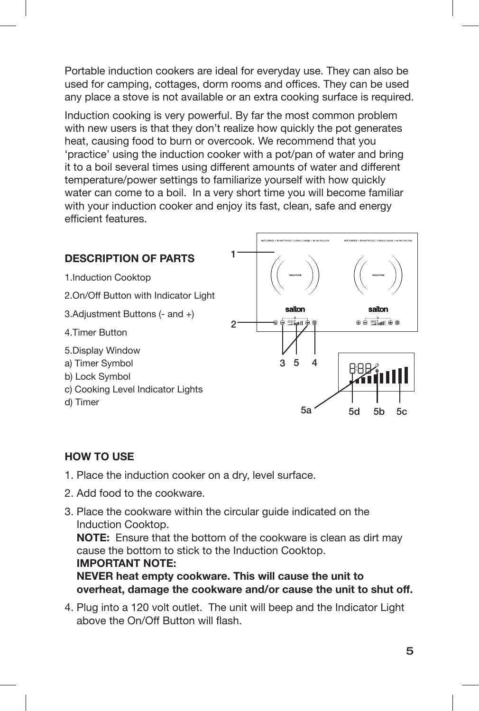Portable induction cookers are ideal for everyday use. They can also be used for camping, cottages, dorm rooms and offices. They can be used any place a stove is not available or an extra cooking surface is required.

Induction cooking is very powerful. By far the most common problem with new users is that they don't realize how quickly the pot generates heat, causing food to burn or overcook. We recommend that you 'practice' using the induction cooker with a pot/pan of water and bring it to a boil several times using different amounts of water and different temperature/power settings to familiarize yourself with how quickly water can come to a boil. In a very short time you will become familiar with your induction cooker and enjoy its fast, clean, safe and energy efficient features.



#### **HOW TO USE**

- 1. Place the induction cooker on a dry, level surface.
- 2. Add food to the cookware.
- 3. Place the cookware within the circular guide indicated on the Induction Cooktop. **NOTE:** Ensure that the bottom of the cookware is clean as dirt may cause the bottom to stick to the Induction Cooktop. **IMPORTANT NOTE: NEVER heat empty cookware. This will cause the unit to overheat, damage the cookware and/or cause the unit to shut off.**
- 4. Plug into a 120 volt outlet. The unit will beep and the Indicator Light above the On/Off Button will flash.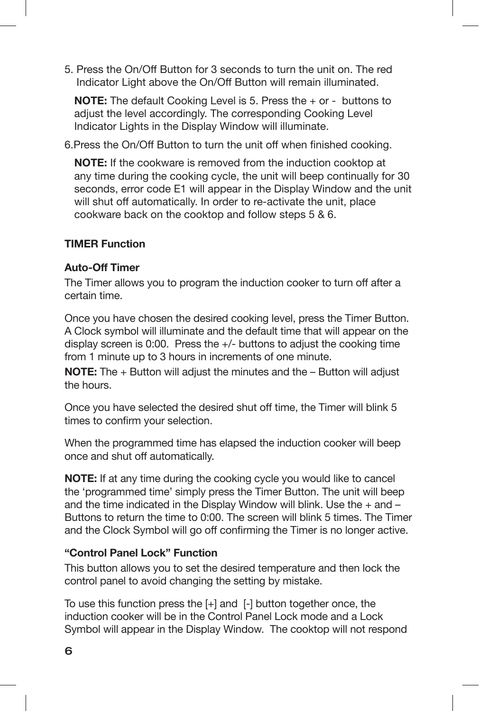5. Press the On/Off Button for 3 seconds to turn the unit on. The red Indicator Light above the On/Off Button will remain illuminated.

**NOTE:** The default Cooking Level is 5. Press the + or - buttons to adjust the level accordingly. The corresponding Cooking Level Indicator Lights in the Display Window will illuminate.

6.Press the On/Off Button to turn the unit off when finished cooking.

**NOTE:** If the cookware is removed from the induction cooktop at any time during the cooking cycle, the unit will beep continually for 30 seconds, error code E1 will appear in the Display Window and the unit will shut off automatically. In order to re-activate the unit, place cookware back on the cooktop and follow steps 5 & 6.

#### **TIMER Function**

#### **Auto-Off Timer**

The Timer allows you to program the induction cooker to turn off after a certain time.

Once you have chosen the desired cooking level, press the Timer Button. A Clock symbol will illuminate and the default time that will appear on the display screen is 0:00. Press the +/- buttons to adjust the cooking time from 1 minute up to 3 hours in increments of one minute.

**NOTE:** The + Button will adjust the minutes and the – Button will adjust the hours.

Once you have selected the desired shut off time, the Timer will blink 5 times to confirm your selection.

When the programmed time has elapsed the induction cooker will beep once and shut off automatically.

**NOTE:** If at any time during the cooking cycle you would like to cancel the 'programmed time' simply press the Timer Button. The unit will beep and the time indicated in the Display Window will blink. Use the  $+$  and  $-$ Buttons to return the time to 0:00. The screen will blink 5 times. The Timer and the Clock Symbol will go off confirming the Timer is no longer active.

#### **"Control Panel Lock" Function**

This button allows you to set the desired temperature and then lock the control panel to avoid changing the setting by mistake.

To use this function press the  $[+]$  and  $[$ - $]$  button together once, the induction cooker will be in the Control Panel Lock mode and a Lock Symbol will appear in the Display Window. The cooktop will not respond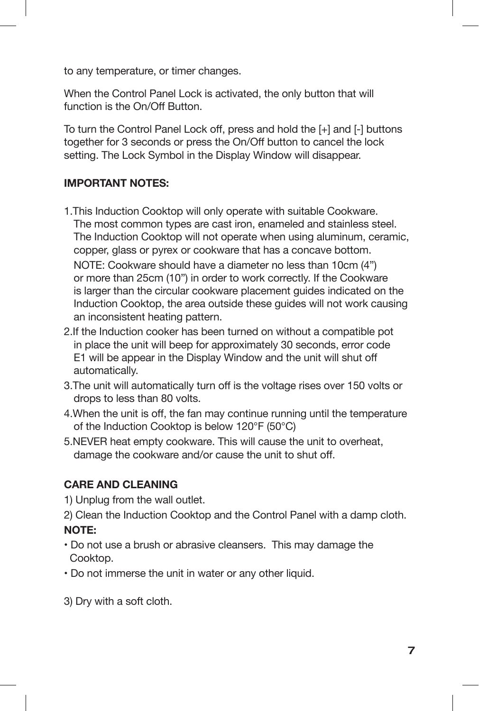to any temperature, or timer changes.

When the Control Panel Lock is activated, the only button that will function is the On/Off Button.

To turn the Control Panel Lock off, press and hold the [+] and [-] buttons together for 3 seconds or press the On/Off button to cancel the lock setting. The Lock Symbol in the Display Window will disappear.

#### **IMPORTANT NOTES:**

- 1.This Induction Cooktop will only operate with suitable Cookware. The most common types are cast iron, enameled and stainless steel. The Induction Cooktop will not operate when using aluminum, ceramic, copper, glass or pyrex or cookware that has a concave bottom. NOTE: Cookware should have a diameter no less than 10cm (4") or more than 25cm (10") in order to work correctly. If the Cookware is larger than the circular cookware placement guides indicated on the Induction Cooktop, the area outside these guides will not work causing an inconsistent heating pattern.
- 2.If the Induction cooker has been turned on without a compatible pot in place the unit will beep for approximately 30 seconds, error code E1 will be appear in the Display Window and the unit will shut off automatically.
- 3.The unit will automatically turn off is the voltage rises over 150 volts or drops to less than 80 volts.
- 4.When the unit is off, the fan may continue running until the temperature of the Induction Cooktop is below 120°F (50°C)
- 5.NEVER heat empty cookware. This will cause the unit to overheat, damage the cookware and/or cause the unit to shut off.

#### **CARE AND CLEANING**

1) Unplug from the wall outlet.

- 2) Clean the Induction Cooktop and the Control Panel with a damp cloth. **NOTE:**
- Do not use a brush or abrasive cleansers. This may damage the Cooktop.
- Do not immerse the unit in water or any other liquid.
- 3) Dry with a soft cloth.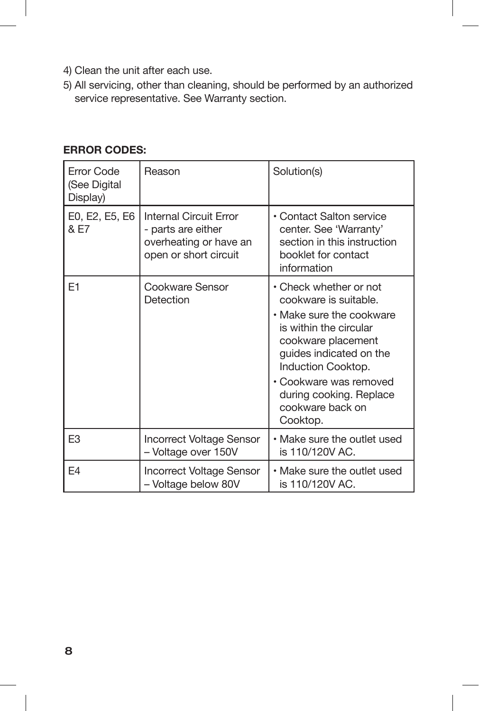- 4) Clean the unit after each use.
- 5) All servicing, other than cleaning, should be performed by an authorized service representative. See Warranty section.

| Error Code<br>(See Digital<br>Display) | Reason                                                                                                 | Solution(s)                                                                                                                                                                                                                                                       |
|----------------------------------------|--------------------------------------------------------------------------------------------------------|-------------------------------------------------------------------------------------------------------------------------------------------------------------------------------------------------------------------------------------------------------------------|
| E0, E2, E5, E6<br>& E7                 | <b>Internal Circuit Error</b><br>- parts are either<br>overheating or have an<br>open or short circuit | • Contact Salton service<br>center. See 'Warranty'<br>section in this instruction<br>booklet for contact<br>information                                                                                                                                           |
| E <sub>1</sub>                         | Cookware Sensor<br>Detection                                                                           | • Check whether or not<br>cookware is suitable.<br>• Make sure the cookware<br>is within the circular<br>cookware placement<br>guides indicated on the<br>Induction Cooktop.<br>· Cookware was removed<br>during cooking. Replace<br>cookware back on<br>Cooktop. |
| E <sub>3</sub>                         | <b>Incorrect Voltage Sensor</b><br>- Voltage over 150V                                                 | • Make sure the outlet used<br>is 110/120V AC.                                                                                                                                                                                                                    |
| F4                                     | <b>Incorrect Voltage Sensor</b><br>- Voltage below 80V                                                 | • Make sure the outlet used<br>is 110/120V AC.                                                                                                                                                                                                                    |

#### **ERROR CODES:**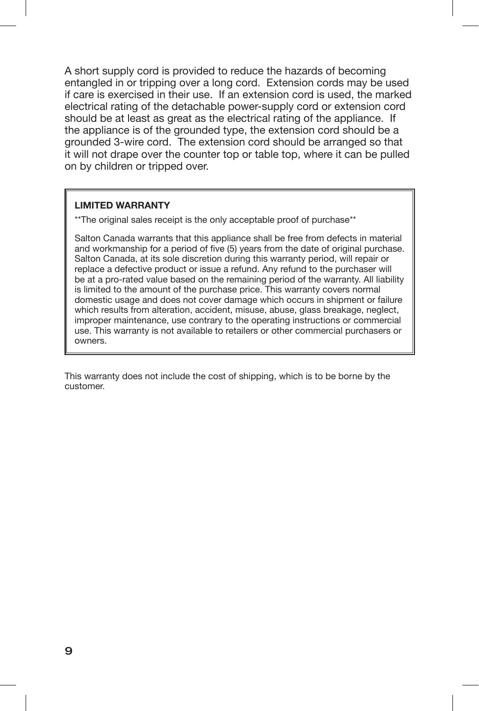A short supply cord is provided to reduce the hazards of becoming entangled in or tripping over a long cord. Extension cords may be used if care is exercised in their use. If an extension cord is used, the marked electrical rating of the detachable power-supply cord or extension cord should be at least as great as the electrical rating of the appliance. If the appliance is of the grounded type, the extension cord should be a grounded 3-wire cord. The extension cord should be arranged so that it will not drape over the counter top or table top, where it can be pulled on by children or tripped over.

#### **LIMITED WARRANTY**

\*\*The original sales receipt is the only acceptable proof of purchase\*\*

Salton Canada warrants that this appliance shall be free from defects in material and workmanship for a period of five (5) years from the date of original purchase. Salton Canada, at its sole discretion during this warranty period, will repair or replace a defective product or issue a refund. Any refund to the purchaser will be at a pro-rated value based on the remaining period of the warranty. All liability is limited to the amount of the purchase price. This warranty covers normal domestic usage and does not cover damage which occurs in shipment or failure which results from alteration, accident, misuse, abuse, glass breakage, neglect, improper maintenance, use contrary to the operating instructions or commercial use. This warranty is not available to retailers or other commercial purchasers or owners.

This warranty does not include the cost of shipping, which is to be borne by the customer.